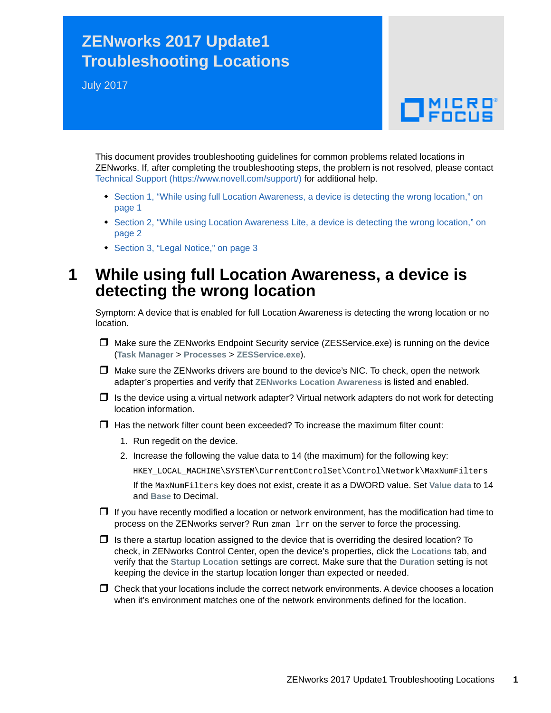## **ZENworks 2017 Update1 Troubleshooting Locations**

July 2017

# $\Box$ MICRO'

This document provides troubleshooting guidelines for common problems related locations in ZENworks. If, after completing the troubleshooting steps, the problem is not resolved, please contact [Technical Support](https://www.novell.com/support/) (https://www.novell.com/support/) for additional help.

- [Section 1, "While using full Location Awareness, a device is detecting the wrong location," on](#page-0-0)  [page 1](#page-0-0)
- [Section 2, "While using Location Awareness Lite, a device is detecting the wrong location," on](#page-1-0)  [page 2](#page-1-0)
- [Section 3, "Legal Notice," on page 3](#page-2-0)

#### <span id="page-0-0"></span>**1 While using full Location Awareness, a device is detecting the wrong location**

Symptom: A device that is enabled for full Location Awareness is detecting the wrong location or no location.

- $\Box$  Make sure the ZENworks Endpoint Security service (ZESService.exe) is running on the device (**Task Manager** > **Processes** > **ZESService.exe**).
- $\Box$  Make sure the ZENworks drivers are bound to the device's NIC. To check, open the network adapter's properties and verify that **ZENworks Location Awareness** is listed and enabled.
- $\Box$  Is the device using a virtual network adapter? Virtual network adapters do not work for detecting location information.
- $\Box$  Has the network filter count been exceeded? To increase the maximum filter count:
	- 1. Run regedit on the device.
	- 2. Increase the following the value data to 14 (the maximum) for the following key:

HKEY\_LOCAL\_MACHINE\SYSTEM\CurrentControlSet\Control\Network\MaxNumFilters

If the MaxNumFilters key does not exist, create it as a DWORD value. Set **Value data** to 14 and **Base** to Decimal.

- $\Box$  If you have recently modified a location or network environment, has the modification had time to process on the ZENworks server? Run zman lrr on the server to force the processing.
- $\Box$  Is there a startup location assigned to the device that is overriding the desired location? To check, in ZENworks Control Center, open the device's properties, click the **Locations** tab, and verify that the **Startup Location** settings are correct. Make sure that the **Duration** setting is not keeping the device in the startup location longer than expected or needed.
- $\Box$  Check that your locations include the correct network environments. A device chooses a location when it's environment matches one of the network environments defined for the location.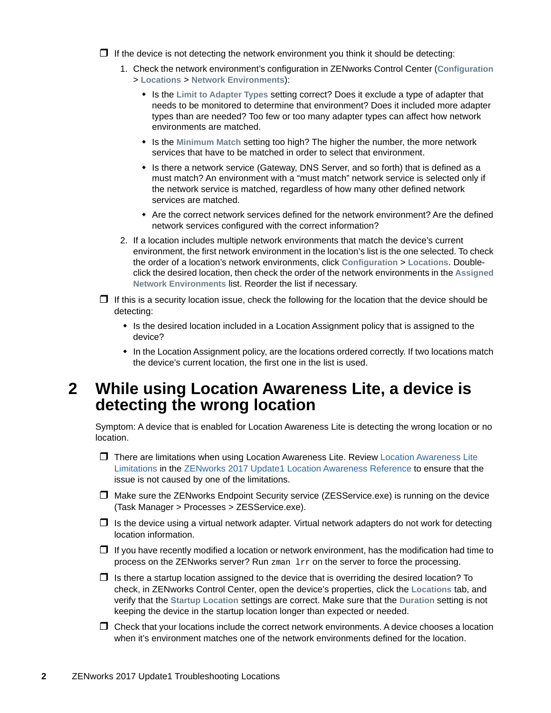$\Box$  If the device is not detecting the network environment you think it should be detecting:

- 1. Check the network environment's configuration in ZENworks Control Center (**Configuration** > **Locations** > **Network Environments**):
	- Is the **Limit to Adapter Types** setting correct? Does it exclude a type of adapter that needs to be monitored to determine that environment? Does it included more adapter types than are needed? Too few or too many adapter types can affect how network environments are matched.
	- Is the **Minimum Match** setting too high? The higher the number, the more network services that have to be matched in order to select that environment.
	- Is there a network service (Gateway, DNS Server, and so forth) that is defined as a must match? An environment with a "must match" network service is selected only if the network service is matched, regardless of how many other defined network services are matched.
	- Are the correct network services defined for the network environment? Are the defined network services configured with the correct information?
- 2. If a location includes multiple network environments that match the device's current environment, the first network environment in the location's list is the one selected. To check the order of a location's network environments, click **Configuration** > **Locations**. Doubleclick the desired location, then check the order of the network environments in the **Assigned Network Environments** list. Reorder the list if necessary.
- $\Box$  If this is a security location issue, check the following for the location that the device should be detecting:
	- Is the desired location included in a Location Assignment policy that is assigned to the device?
	- In the Location Assignment policy, are the locations ordered correctly. If two locations match the device's current location, the first one in the list is used.

#### <span id="page-1-0"></span>**2 While using Location Awareness Lite, a device is detecting the wrong location**

Symptom: A device that is enabled for Location Awareness Lite is detecting the wrong location or no location.

- There are limitations when using Location Awareness Lite. Review [Location Awareness Lite](https://www.novell.com/documentation/zenworks2017/pdfdoc/zen_sys_location/zen_sys_location.pdf#b13x6dow)  Limitations in the [ZENworks 2017 Update1 Location Awareness Reference](https://www.novell.com/documentation/zenworks2017/pdfdoc/zen_sys_location/zen_sys_location.pdf#bookinfo) to ensure that the issue is not caused by one of the limitations.
- $\Box$  Make sure the ZENworks Endpoint Security service (ZESService.exe) is running on the device (Task Manager > Processes > ZESService.exe).
- $\Box$  Is the device using a virtual network adapter. Virtual network adapters do not work for detecting location information.
- $\Box$  If you have recently modified a location or network environment, has the modification had time to process on the ZENworks server? Run zman lrr on the server to force the processing.
- $\Box$  Is there a startup location assigned to the device that is overriding the desired location? To check, in ZENworks Control Center, open the device's properties, click the **Locations** tab, and verify that the **Startup Location** settings are correct. Make sure that the **Duration** setting is not keeping the device in the startup location longer than expected or needed.
- $\Box$  Check that your locations include the correct network environments. A device chooses a location when it's environment matches one of the network environments defined for the location.